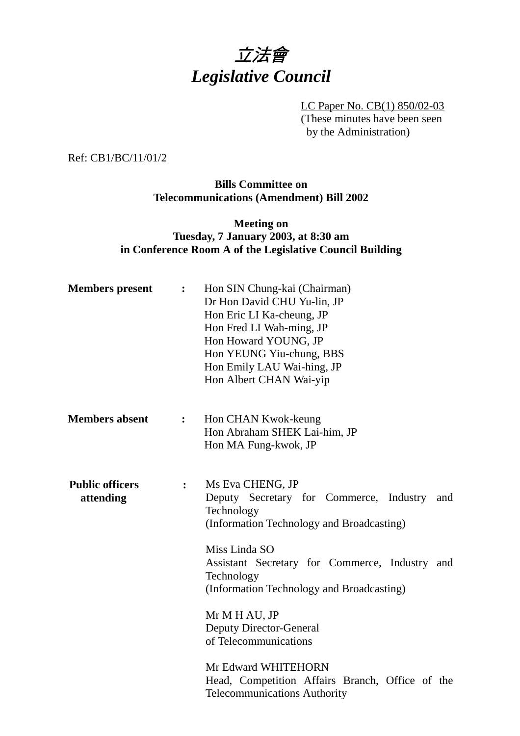

LC Paper No. CB(1) 850/02-03 (These minutes have been seen by the Administration)

#### Ref: CB1/BC/11/01/2

### **Bills Committee on Telecommunications (Amendment) Bill 2002**

### **Meeting on Tuesday, 7 January 2003, at 8:30 am in Conference Room A of the Legislative Council Building**

| <b>Members</b> present              | $\ddot{\cdot}$ | Hon SIN Chung-kai (Chairman)<br>Dr Hon David CHU Yu-lin, JP<br>Hon Eric LI Ka-cheung, JP<br>Hon Fred LI Wah-ming, JP<br>Hon Howard YOUNG, JP<br>Hon YEUNG Yiu-chung, BBS<br>Hon Emily LAU Wai-hing, JP<br>Hon Albert CHAN Wai-yip |
|-------------------------------------|----------------|-----------------------------------------------------------------------------------------------------------------------------------------------------------------------------------------------------------------------------------|
| <b>Members absent</b>               | $\ddot{\cdot}$ | Hon CHAN Kwok-keung<br>Hon Abraham SHEK Lai-him, JP<br>Hon MA Fung-kwok, JP                                                                                                                                                       |
| <b>Public officers</b><br>attending | $\ddot{\cdot}$ | Ms Eva CHENG, JP<br>Deputy Secretary for Commerce, Industry<br>and<br>Technology<br>(Information Technology and Broadcasting)                                                                                                     |
|                                     |                | Miss Linda SO<br>Assistant Secretary for Commerce, Industry and<br>Technology<br>(Information Technology and Broadcasting)                                                                                                        |
|                                     |                | Mr M H AU, JP<br><b>Deputy Director-General</b><br>of Telecommunications                                                                                                                                                          |
|                                     |                | Mr Edward WHITEHORN<br>Head, Competition Affairs Branch, Office of the<br><b>Telecommunications Authority</b>                                                                                                                     |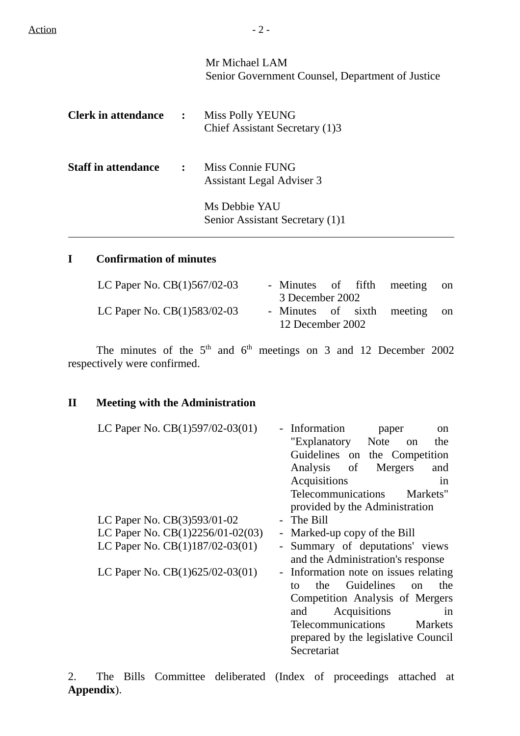|                              | Mr Michael LAM<br>Senior Government Counsel, Department of Justice |
|------------------------------|--------------------------------------------------------------------|
| <b>Clerk in attendance :</b> | Miss Polly YEUNG<br>Chief Assistant Secretary (1)3                 |
| <b>Staff in attendance</b>   | : Miss Connie FUNG<br><b>Assistant Legal Adviser 3</b>             |
|                              | Ms Debbie YAU<br>Senior Assistant Secretary (1)1                   |

### **I Confirmation of minutes**

| LC Paper No. $CB(1)567/02-03$ | 3 December 2002  |  | - Minutes of fifth meeting on |  |
|-------------------------------|------------------|--|-------------------------------|--|
| LC Paper No. $CB(1)583/02-03$ | 12 December 2002 |  | - Minutes of sixth meeting on |  |

The minutes of the  $5<sup>th</sup>$  and  $6<sup>th</sup>$  meetings on 3 and 12 December 2002 respectively were confirmed.

## **II Meeting with the Administration**

| LC Paper No. CB(1)597/02-03(01)   | - Information<br>paper<br><sub>on</sub><br>"Explanatory Note<br>the<br>on<br>Guidelines on the Competition                                                                                                                                |
|-----------------------------------|-------------------------------------------------------------------------------------------------------------------------------------------------------------------------------------------------------------------------------------------|
|                                   | Analysis of<br>Mergers<br>and                                                                                                                                                                                                             |
|                                   | Acquisitions<br>in                                                                                                                                                                                                                        |
|                                   | Telecommunications<br>Markets"                                                                                                                                                                                                            |
|                                   | provided by the Administration                                                                                                                                                                                                            |
| LC Paper No. $CB(3)593/01-02$     | - The Bill                                                                                                                                                                                                                                |
| LC Paper No. CB(1)2256/01-02(03)  | - Marked-up copy of the Bill                                                                                                                                                                                                              |
| LC Paper No. CB(1)187/02-03(01)   | - Summary of deputations' views<br>and the Administration's response                                                                                                                                                                      |
| LC Paper No. $CB(1)625/02-03(01)$ | Information note on issues relating<br>Guidelines<br>the<br>the<br>to<br>on<br>Competition Analysis of Mergers<br>Acquisitions<br>and<br>1n<br>Telecommunications<br><b>Markets</b><br>prepared by the legislative Council<br>Secretariat |

2. The Bills Committee deliberated (Index of proceedings attached at **Appendix**).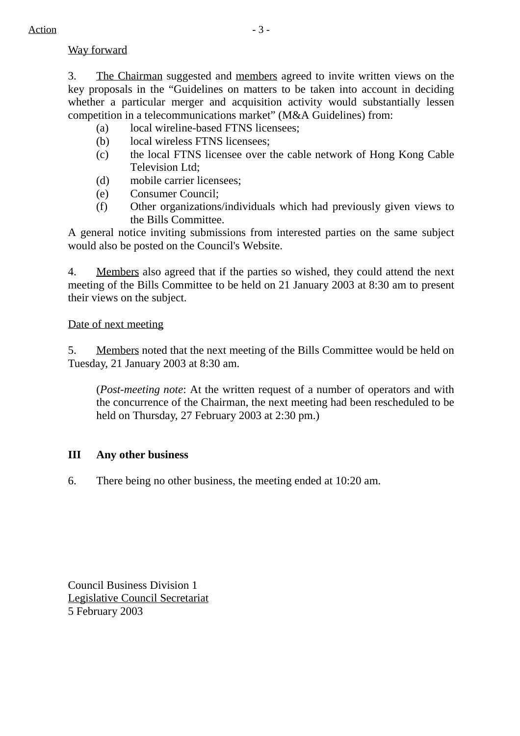### Way forward

3. The Chairman suggested and members agreed to invite written views on the key proposals in the "Guidelines on matters to be taken into account in deciding whether a particular merger and acquisition activity would substantially lessen competition in a telecommunications market" (M&A Guidelines) from:

- (a) local wireline-based FTNS licensees;
- (b) local wireless FTNS licensees;
- (c) the local FTNS licensee over the cable network of Hong Kong Cable Television Ltd;
- (d) mobile carrier licensees;
- (e) Consumer Council;
- (f) Other organizations/individuals which had previously given views to the Bills Committee.

A general notice inviting submissions from interested parties on the same subject would also be posted on the Council's Website.

4. Members also agreed that if the parties so wished, they could attend the next meeting of the Bills Committee to be held on 21 January 2003 at 8:30 am to present their views on the subject.

Date of next meeting

5. Members noted that the next meeting of the Bills Committee would be held on Tuesday, 21 January 2003 at 8:30 am.

(*Post-meeting note*: At the written request of a number of operators and with the concurrence of the Chairman, the next meeting had been rescheduled to be held on Thursday, 27 February 2003 at 2:30 pm.)

### **III Any other business**

6. There being no other business, the meeting ended at 10:20 am.

Council Business Division 1 Legislative Council Secretariat 5 February 2003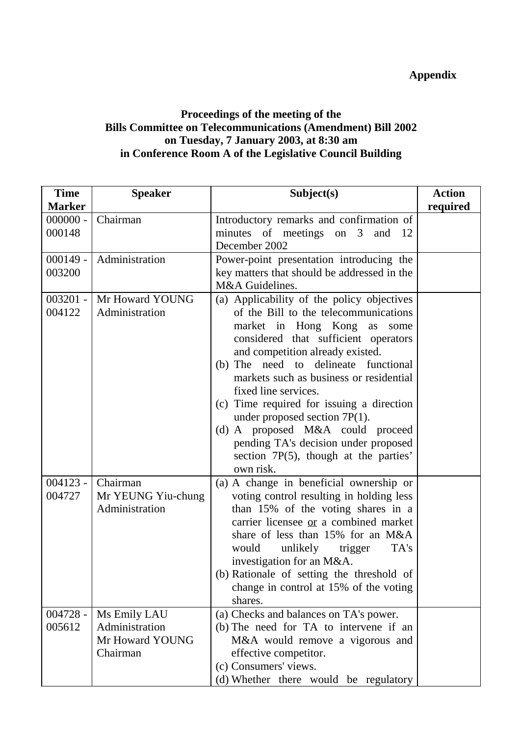# **Appendix**

### **Proceedings of the meeting of the Bills Committee on Telecommunications (Amendment) Bill 2002 on Tuesday, 7 January 2003, at 8:30 am in Conference Room A of the Legislative Council Building**

| <b>Time</b>          | <b>Speaker</b>                                                | Subject(s)                                                                                                                                                                                                                                                                                                                                                                                                                                                                                                                         | <b>Action</b> |
|----------------------|---------------------------------------------------------------|------------------------------------------------------------------------------------------------------------------------------------------------------------------------------------------------------------------------------------------------------------------------------------------------------------------------------------------------------------------------------------------------------------------------------------------------------------------------------------------------------------------------------------|---------------|
| <b>Marker</b>        |                                                               |                                                                                                                                                                                                                                                                                                                                                                                                                                                                                                                                    | required      |
| $000000 -$<br>000148 | Chairman                                                      | Introductory remarks and confirmation of<br>minutes of meetings on 3<br>and<br>-12<br>December 2002                                                                                                                                                                                                                                                                                                                                                                                                                                |               |
| $000149 -$<br>003200 | Administration                                                | Power-point presentation introducing the<br>key matters that should be addressed in the<br>M&A Guidelines.                                                                                                                                                                                                                                                                                                                                                                                                                         |               |
| $003201 -$<br>004122 | Mr Howard YOUNG<br>Administration                             | (a) Applicability of the policy objectives<br>of the Bill to the telecommunications<br>market in Hong Kong as<br>some<br>considered that sufficient operators<br>and competition already existed.<br>(b) The need to delineate<br>functional<br>markets such as business or residential<br>fixed line services.<br>(c) Time required for issuing a direction<br>under proposed section $7P(1)$ .<br>(d) A proposed M&A could proceed<br>pending TA's decision under proposed<br>section 7P(5), though at the parties'<br>own risk. |               |
| $004123 -$<br>004727 | Chairman<br>Mr YEUNG Yiu-chung<br>Administration              | (a) A change in beneficial ownership or<br>voting control resulting in holding less<br>than 15% of the voting shares in a<br>carrier licensee or a combined market<br>share of less than 15% for an M&A<br>TA's<br>would<br>unlikely<br>trigger<br>investigation for an M&A.<br>(b) Rationale of setting the threshold of<br>change in control at 15% of the voting<br>shares.                                                                                                                                                     |               |
| $004728 -$<br>005612 | Ms Emily LAU<br>Administration<br>Mr Howard YOUNG<br>Chairman | (a) Checks and balances on TA's power.<br>(b) The need for TA to intervene if an<br>M&A would remove a vigorous and<br>effective competitor.<br>(c) Consumers' views.<br>(d) Whether there would be regulatory                                                                                                                                                                                                                                                                                                                     |               |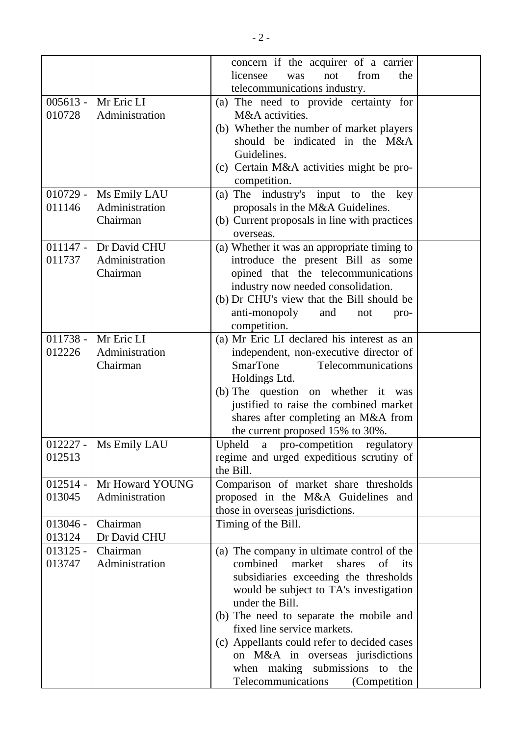|            |                         | concern if the acquirer of a carrier         |  |
|------------|-------------------------|----------------------------------------------|--|
|            |                         | licensee<br>from<br>the<br>not<br>was        |  |
|            |                         | telecommunications industry.                 |  |
|            | 005613 -   Mr Eric LI   |                                              |  |
|            |                         | (a) The need to provide certainty for        |  |
| 010728     | Administration          | M&A activities.                              |  |
|            |                         | (b) Whether the number of market players     |  |
|            |                         | should be indicated in the M&A               |  |
|            |                         | Guidelines.                                  |  |
|            |                         | (c) Certain M&A activities might be pro-     |  |
|            |                         | competition.                                 |  |
|            | 010729 -   Ms Emily LAU | (a) The industry's input to the key          |  |
| 011146     | Administration          | proposals in the M&A Guidelines.             |  |
|            | Chairman                | (b) Current proposals in line with practices |  |
|            |                         | overseas.                                    |  |
|            | 011147 - Dr David CHU   | (a) Whether it was an appropriate timing to  |  |
| 011737     | Administration          | introduce the present Bill as some           |  |
|            | Chairman                | opined that the telecommunications           |  |
|            |                         | industry now needed consolidation.           |  |
|            |                         | (b) Dr CHU's view that the Bill should be    |  |
|            |                         | anti-monopoly<br>and<br>not<br>pro-          |  |
|            |                         | competition.                                 |  |
|            | 011738 -   Mr Eric LI   |                                              |  |
|            |                         | (a) Mr Eric LI declared his interest as an   |  |
| 012226     | Administration          | independent, non-executive director of       |  |
|            | Chairman                | <b>SmarTone</b><br>Telecommunications        |  |
|            |                         | Holdings Ltd.                                |  |
|            |                         | (b) The question on whether it was           |  |
|            |                         | justified to raise the combined market       |  |
|            |                         | shares after completing an M&A from          |  |
|            |                         | the current proposed 15% to 30%.             |  |
|            | 012227 -   Ms Emily LAU | Upheld a pro-competition regulatory          |  |
| 012513     |                         | regime and urged expeditious scrutiny of     |  |
|            |                         | the Bill.                                    |  |
| $012514 -$ | Mr Howard YOUNG         | Comparison of market share thresholds        |  |
| 013045     | Administration          | proposed in the M&A Guidelines and           |  |
|            |                         | those in overseas jurisdictions.             |  |
| $013046 -$ | Chairman                | Timing of the Bill.                          |  |
| 013124     | Dr David CHU            |                                              |  |
| $013125 -$ | Chairman                | (a) The company in ultimate control of the   |  |
| 013747     | Administration          | combined<br>market<br>shares<br>of<br>its    |  |
|            |                         |                                              |  |
|            |                         | subsidiaries exceeding the thresholds        |  |
|            |                         | would be subject to TA's investigation       |  |
|            |                         | under the Bill.                              |  |
|            |                         | (b) The need to separate the mobile and      |  |
|            |                         | fixed line service markets.                  |  |
|            |                         | (c) Appellants could refer to decided cases  |  |
|            |                         | on M&A in overseas jurisdictions             |  |
|            |                         | when making submissions to<br>the            |  |
|            |                         | Telecommunications<br>(Competition)          |  |